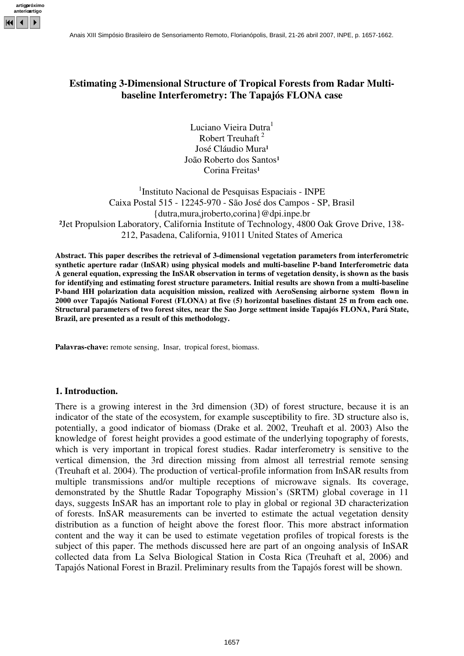

# **Estimating 3-Dimensional Structure of Tropical Forests from Radar Multibaseline Interferometry: The Tapajós FLONA case**

Luciano Vieira Dutra<sup>l</sup> Robert Treuhaft<sup>2</sup> José Cláudio Mura<sup>1</sup> João Roberto dos Santos<sup>1</sup> Corina Freitas<sup>1</sup>

<sup>1</sup>Instituto Nacional de Pesquisas Espaciais - INPE Caixa Postal 515 - 12245-970 - São José dos Campos - SP, Brasil {dutra,mura,jroberto,corina}@dpi.inpe.br ²Jet Propulsion Laboratory, California Institute of Technology, 4800 Oak Grove Drive, 138- 212, Pasadena, California, 91011 United States of America

**Abstract. This paper describes the retrieval of 3-dimensional vegetation parameters from interferometric synthetic aperture radar (InSAR) using physical models and multi-baseline P-band Interferometric data** A general equation, expressing the InSAR observation in terms of vegetation density, is shown as the basis **for identifying and estimating forest structure parameters. Initial results are shown from a multi-baseline P-band HH polarization data acquisition mission, realized with AeroSensing airborne system flown in 2000 over Tapajós National Forest (FLONA) at five (5) horizontal baselines distant 25 m from each one. Structural parameters of two forest sites, near the Sao Jorge settment inside Tapajós FLONA, Pará State, Brazil, are presented as a result of this methodology.**

**Palavras-chave:** remote sensing, Insar, tropical forest, biomass.

### **1. Introduction.**

There is a growing interest in the 3rd dimension (3D) of forest structure, because it is an indicator of the state of the ecosystem, for example susceptibility to fire. 3D structure also is, potentially, a good indicator of biomass (Drake et al. 2002, Treuhaft et al. 2003) Also the knowledge of forest height provides a good estimate of the underlying topography of forests, which is very important in tropical forest studies. Radar interferometry is sensitive to the vertical dimension, the 3rd direction missing from almost all terrestrial remote sensing (Treuhaft et al. 2004). The production of vertical-profile information from InSAR results from multiple transmissions and/or multiple receptions of microwave signals. Its coverage, demonstrated by the Shuttle Radar Topography Mission's (SRTM) global coverage in 11 days, suggests InSAR has an important role to play in global or regional 3D characterization of forests. InSAR measurements can be inverted to estimate the actual vegetation density distribution as a function of height above the forest floor. This more abstract information content and the way it can be used to estimate vegetation profiles of tropical forests is the subject of this paper. The methods discussed here are part of an ongoing analysis of InSAR collected data from La Selva Biological Station in Costa Rica (Treuhaft et al, 2006) and Tapajós National Forest in Brazil. Preliminary results from the Tapajós forest will be shown.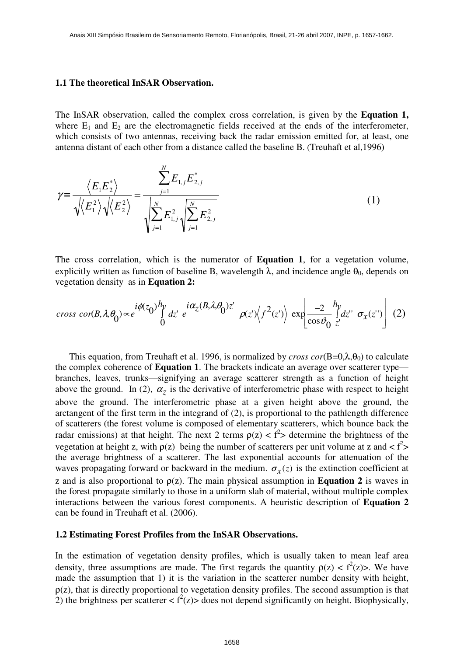#### **1.1 The theoretical InSAR Observation.**

The InSAR observation, called the complex cross correlation, is given by the **Equation 1,** where  $E_1$  and  $E_2$  are the electromagnetic fields received at the ends of the interferometer, which consists of two antennas, receiving back the radar emission emitted for, at least, one antenna distant of each other from a distance called the baseline B. (Treuhaft et al,1996)

$$
\gamma = \frac{\langle E_1 E_2^* \rangle}{\sqrt{\langle E_1^2 \rangle} \sqrt{\langle E_2^2 \rangle}} = \frac{\sum_{j=1}^N E_{1,j} E_{2,j}^*}{\sqrt{\sum_{j=1}^N E_{1,j}^2 \sqrt{\sum_{j=1}^N E_{2,j}^2}}}
$$
(1)

The cross correlation, which is the numerator of **Equation 1**, for a vegetation volume, explicitly written as function of baseline B, wavelength  $\lambda$ , and incidence angle  $\theta_0$ , depends on vegetation density as in **Equation 2:**

$$
cross\,\,cor(B,\lambda,\theta_0) \propto e^{i\phi(z_0)\frac{h_y}{\int dz'}\,e^{-i\alpha_z(B,\lambda,\theta_0)z'}}\,\,\rho(z)\Big\langle f^2(z')\Big\rangle\,\exp\left[\frac{-2}{\cos\vartheta_0}\int\limits_{z'}^{h_y}dz'\,\,\sigma_x(z')\right] \,\,(2)
$$

This equation, from Treuhaft et al. 1996, is normalized by *cross*  $cor(B=0, \lambda, \theta_0)$  to calculate the complex coherence of **Equation 1**. The brackets indicate an average over scatterer type branches, leaves, trunks—signifying an average scatterer strength as a function of height above the ground. In (2),  $\alpha_z$  is the derivative of interferometric phase with respect to height above the ground. The interferometric phase at a given height above the ground, the arctangent of the first term in the integrand of (2), is proportional to the pathlength difference of scatterers (the forest volume is composed of elementary scatterers, which bounce back the radar emissions) at that height. The next 2 terms  $\rho(z) < f^2$  determine the brightness of the vegetation at height z, with  $\rho(z)$  being the number of scatterers per unit volume at z and <  $f^2$ > the average brightness of a scatterer. The last exponential accounts for attenuation of the waves propagating forward or backward in the medium.  $\sigma_x(z)$  is the extinction coefficient at z and is also proportional to  $\rho(z)$ . The main physical assumption in **Equation 2** is waves in the forest propagate similarly to those in a uniform slab of material, without multiple complex interactions between the various forest components. A heuristic description of **Equation 2** can be found in Treuhaft et al. (2006).

#### **1.2 Estimating Forest Profiles from the InSAR Observations.**

In the estimation of vegetation density profiles, which is usually taken to mean leaf area density, three assumptions are made. The first regards the quantity  $\rho(z) < f^2(z)$ . We have made the assumption that 1) it is the variation in the scatterer number density with height,  $\rho(z)$ , that is directly proportional to vegetation density profiles. The second assumption is that 2) the brightness per scatterer  $\langle f^2(z)\rangle$  does not depend significantly on height. Biophysically,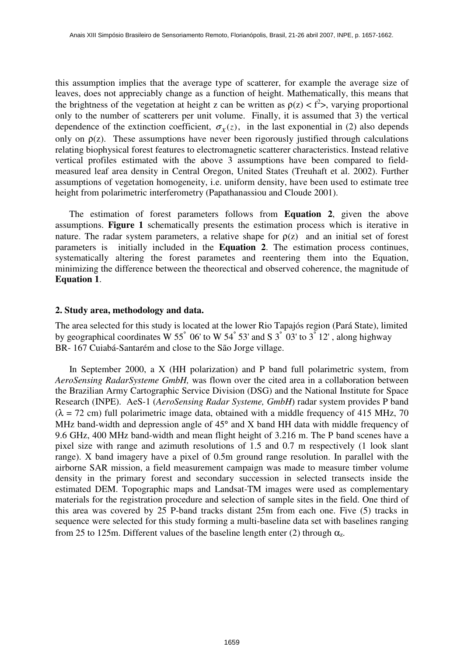this assumption implies that the average type of scatterer, for example the average size of leaves, does not appreciably change as a function of height. Mathematically, this means that the brightness of the vegetation at height z can be written as  $\rho(z) < f^2$ , varying proportional only to the number of scatterers per unit volume. Finally, it is assumed that 3) the vertical dependence of the extinction coefficient,  $\sigma_x(z)$ , in the last exponential in (2) also depends only on  $\rho(z)$ . These assumptions have never been rigorously justified through calculations relating biophysical forest features to electromagnetic scatterer characteristics. Instead relative vertical profiles estimated with the above 3 assumptions have been compared to fieldmeasured leaf area density in Central Oregon, United States (Treuhaft et al. 2002). Further assumptions of vegetation homogeneity, i.e. uniform density, have been used to estimate tree height from polarimetric interferometry (Papathanassiou and Cloude 2001).

The estimation of forest parameters follows from **Equation 2**, given the above assumptions. **Figure 1** schematically presents the estimation process which is iterative in nature. The radar system parameters, a relative shape for  $\rho(z)$  and an initial set of forest parameters is initially included in the **Equation 2**. The estimation process continues, systematically altering the forest parametes and reentering them into the Equation, minimizing the difference between the theorectical and observed coherence, the magnitude of **Equation 1**.

#### **2. Study area, methodology and data.**

The area selected for this study is located at the lower Rio Tapajós region (Pará State), limited by geographical coordinates W 55 $\degree$  06' to W 54 $\degree$  53' and S 3 $\degree$  03' to 3 $\degree$  12', along highway BR- 167 Cuiabá-Santarém and close to the São Jorge village.

In September 2000, a X (HH polarization) and P band full polarimetric system, from *AeroSensing RadarSysteme GmbH,* was flown over the cited area in a collaboration between the Brazilian Army Cartographic Service Division (DSG) and the National Institute for Space Research (INPE). AeS-1 (*AeroSensing Radar Systeme, GmbH*) radar system provides P band  $(\lambda = 72$  cm) full polarimetric image data, obtained with a middle frequency of 415 MHz, 70 MHz band-width and depression angle of 45° and X band HH data with middle frequency of 9.6 GHz, 400 MHz band-width and mean flight height of 3.216 m. The P band scenes have a pixel size with range and azimuth resolutions of 1.5 and 0.7 m respectively (1 look slant range). X band imagery have a pixel of 0.5m ground range resolution. In parallel with the airborne SAR mission, a field measurement campaign was made to measure timber volume density in the primary forest and secondary succession in selected transects inside the estimated DEM. Topographic maps and Landsat-TM images were used as complementary materials for the registration procedure and selection of sample sites in the field. One third of this area was covered by 25 P-band tracks distant 25m from each one. Five (5) tracks in sequence were selected for this study forming a multi-baseline data set with baselines ranging from 25 to 125m. Different values of the baseline length enter (2) through  $\alpha_z$ .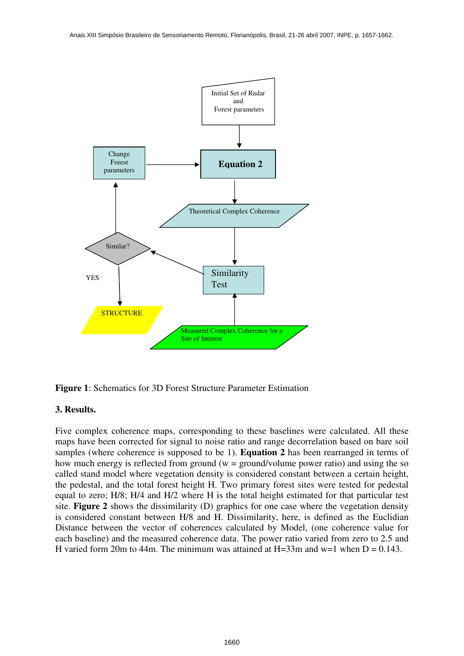



### **3. Results.**

Five complex coherence maps, corresponding to these baselines were calculated. All these maps have been corrected for signal to noise ratio and range decorrelation based on bare soil samples (where coherence is supposed to be 1). **Equation 2** has been rearranged in terms of how much energy is reflected from ground ( $w =$  ground/volume power ratio) and using the so called stand model where vegetation density is considered constant between a certain height, the pedestal, and the total forest height H. Two primary forest sites were tested for pedestal equal to zero; H/8; H/4 and H/2 where H is the total height estimated for that particular test site. **Figure 2** shows the dissimilarity (D) graphics for one case where the vegetation density is considered constant between H/8 and H. Dissimilarity, here, is defined as the Euclidian Distance between the vector of coherences calculated by Model, (one coherence value for each baseline) and the measured coherence data. The power ratio varied from zero to 2.5 and H varied form 20m to 44m. The minimum was attained at H=33m and w=1 when  $D = 0.143$ .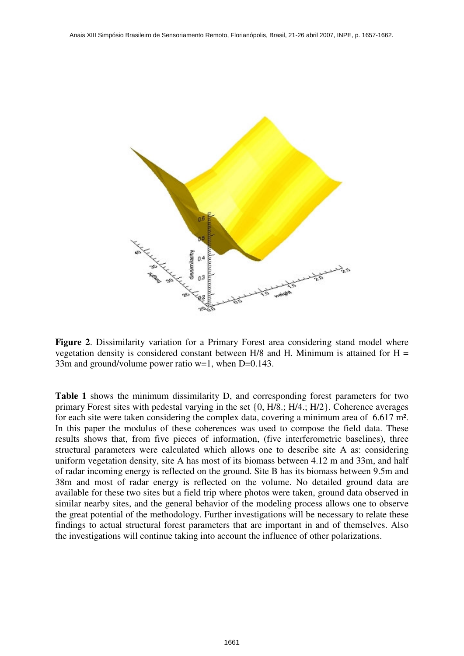

**Figure 2**. Dissimilarity variation for a Primary Forest area considering stand model where vegetation density is considered constant between H/8 and H. Minimum is attained for  $H =$ 33m and ground/volume power ratio w=1, when D=0.143.

**Table 1** shows the minimum dissimilarity D, and corresponding forest parameters for two primary Forest sites with pedestal varying in the set {0, H/8.; H/4.; H/2}. Coherence averages for each site were taken considering the complex data, covering a minimum area of 6.617 m². In this paper the modulus of these coherences was used to compose the field data. These results shows that, from five pieces of information, (five interferometric baselines), three structural parameters were calculated which allows one to describe site A as: considering uniform vegetation density, site A has most of its biomass between 4.12 m and 33m, and half of radar incoming energy is reflected on the ground. Site B has its biomass between 9.5m and 38m and most of radar energy is reflected on the volume. No detailed ground data are available for these two sites but a field trip where photos were taken, ground data observed in similar nearby sites, and the general behavior of the modeling process allows one to observe the great potential of the methodology. Further investigations will be necessary to relate these findings to actual structural forest parameters that are important in and of themselves. Also the investigations will continue taking into account the influence of other polarizations.